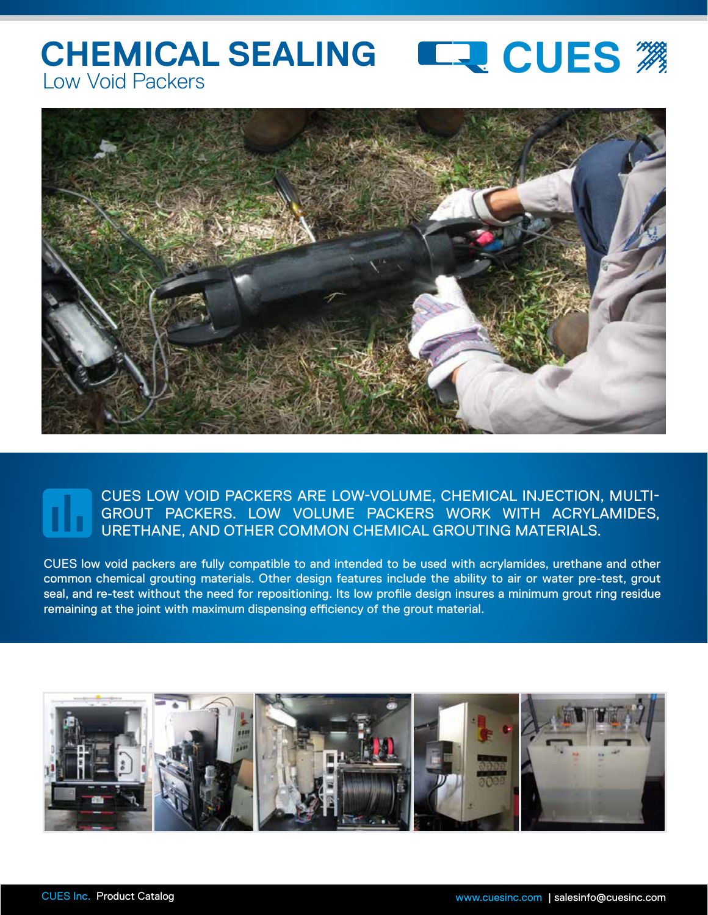## **CHEMICAL SEALING LEVE CUES** Low Void Packers



## CUES LOW VOID PACKERS ARE LOW-VOLUME, CHEMICAL INJECTION, MULTI-GROUT PACKERS. LOW VOLUME PACKERS WORK WITH ACRYLAMIDES, URETHANE, AND OTHER COMMON CHEMICAL GROUTING MATERIALS.

CUES low void packers are fully compatible to and intended to be used with acrylamides, urethane and other common chemical grouting materials. Other design features include the ability to air or water pre-test, grout seal, and re-test without the need for repositioning. Its low profile design insures a minimum grout ring residue remaining at the joint with maximum dispensing efficiency of the grout material.